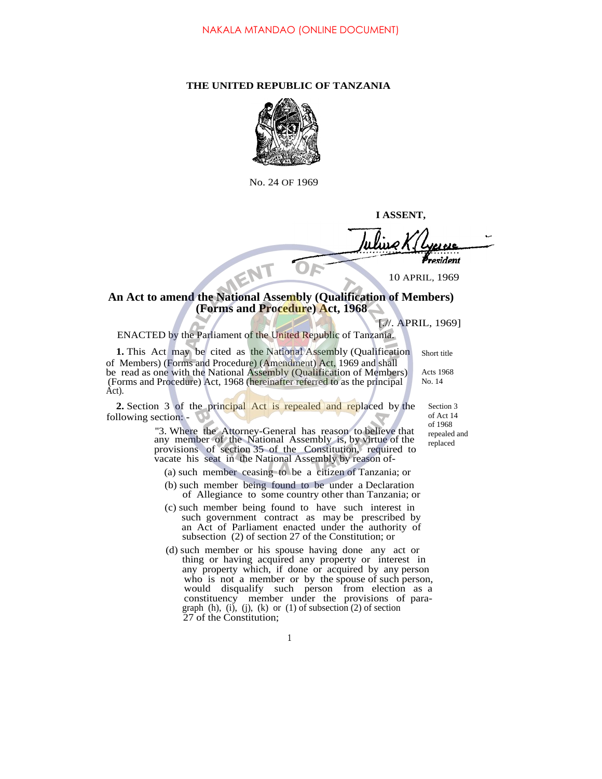## **THE UNITED REPUBLIC OF TANZANIA**



No. 24 OF 1969

**I ASSENT,**

resident NENT

10 APRIL, 1969

## **An Act to amend the National Assembly (Qualification of Members) (Forms and Procedure) Act, 1968**

[.//. APRIL, 1969]

Short title Acts 1968 No. 14

ENACTED by the Parliament of the United Republic of Tanzania.

**1.** This Act may be cited as the National Assembly (Qualification of Members) (Forms and Procedure) (Amendment) Act, 1969 and shall be read as one with the National Assembly (Qualification of Members) (Forms and Procedure) Act, 1968 (hereinafter referred to as the principal Act).

**2.** Section 3 of the principal Act is repealed and replaced by the following section: -

Section 3 of Act 14 of 1968 repealed and replaced

''3. Where the Attorney-General has reason to believe that any member of the National Assembly is, by virtue of the provisions of section 35 of the Constitution, required to vacate his seat in the National Assembly by reason of-

- (a) such member ceasing to be a citizen of Tanzania; or
- (b) such member being found to be under a Declaration of Allegiance to some country other than Tanzania; or
- (c) such member being found to have such interest in such government contract as may be prescribed by an Act of Parliament enacted under the authority of subsection (2) of section 27 of the Constitution; or
- (d) such member or his spouse having done any act or thing or having acquired any property or interest in any property which, if done or acquired by any person who is not a member or by the spouse of such person, would disqualify such person from election as a constituency member under the provisions of paragraph  $(h)$ ,  $(i)$ ,  $(j)$ ,  $(k)$  or  $(1)$  of subsection  $(2)$  of section 27 of the Constitution;